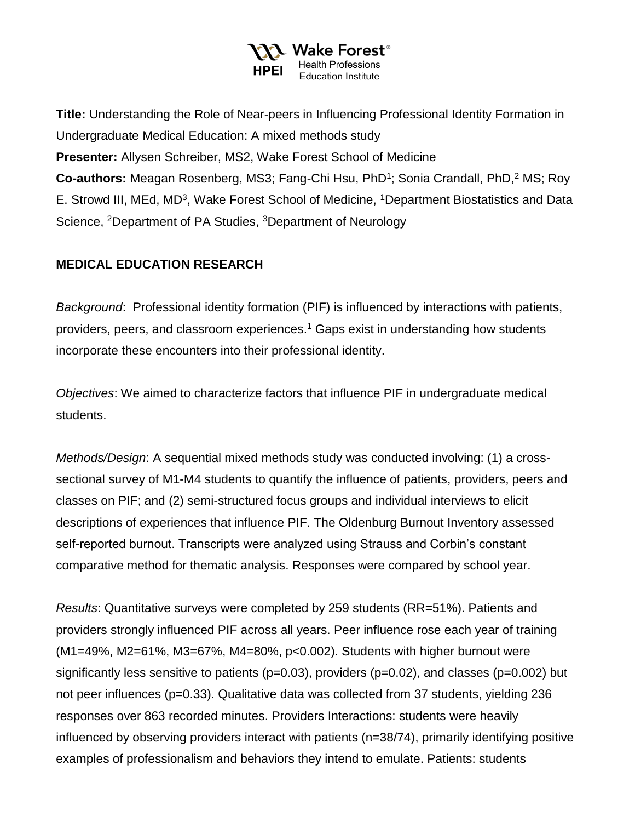

**Title:** Understanding the Role of Near-peers in Influencing Professional Identity Formation in Undergraduate Medical Education: A mixed methods study **Presenter:** Allysen Schreiber, MS2, Wake Forest School of Medicine **Co-authors:** Meagan Rosenberg, MS3; Fang-Chi Hsu, PhD<sup>1</sup>; Sonia Crandall, PhD,<sup>2</sup> MS; Roy E. Strowd III, MEd, MD<sup>3</sup>, Wake Forest School of Medicine, <sup>1</sup>Department Biostatistics and Data Science, <sup>2</sup>Department of PA Studies, <sup>3</sup>Department of Neurology

## **MEDICAL EDUCATION RESEARCH**

*Background*: Professional identity formation (PIF) is influenced by interactions with patients, providers, peers, and classroom experiences.<sup>1</sup> Gaps exist in understanding how students incorporate these encounters into their professional identity.

*Objectives*: We aimed to characterize factors that influence PIF in undergraduate medical students.

*Methods/Design*: A sequential mixed methods study was conducted involving: (1) a crosssectional survey of M1-M4 students to quantify the influence of patients, providers, peers and classes on PIF; and (2) semi-structured focus groups and individual interviews to elicit descriptions of experiences that influence PIF. The Oldenburg Burnout Inventory assessed self-reported burnout. Transcripts were analyzed using Strauss and Corbin's constant comparative method for thematic analysis. Responses were compared by school year.

*Results*: Quantitative surveys were completed by 259 students (RR=51%). Patients and providers strongly influenced PIF across all years. Peer influence rose each year of training (M1=49%, M2=61%, M3=67%, M4=80%, p<0.002). Students with higher burnout were significantly less sensitive to patients (p=0.03), providers (p=0.02), and classes (p=0.002) but not peer influences (p=0.33). Qualitative data was collected from 37 students, yielding 236 responses over 863 recorded minutes. Providers Interactions: students were heavily influenced by observing providers interact with patients (n=38/74), primarily identifying positive examples of professionalism and behaviors they intend to emulate. Patients: students